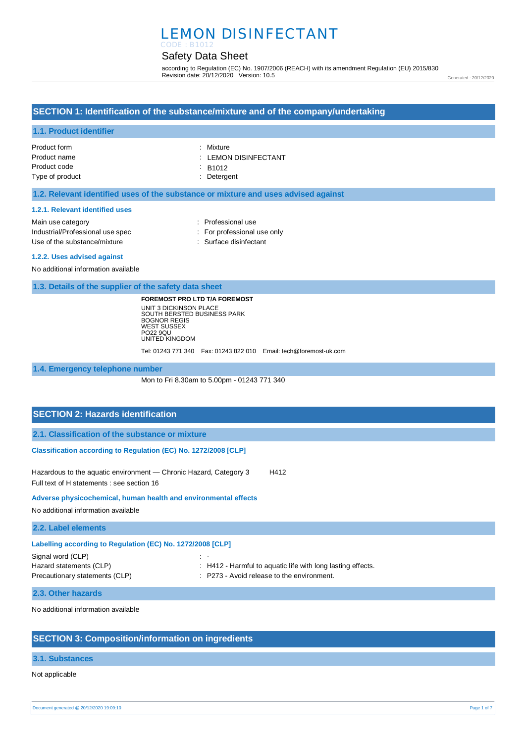## LEMON DISINFECTANT CODE : B1012

## Safety Data Sheet

according to Regulation (EC) No. 1907/2006 (REACH) with its amendment Regulation (EU) 2015/830 Revision date: 20/12/2020 Version: 10.5

### Generated : 20/12/2020

### **SECTION 1: Identification of the substance/mixture and of the company/undertaking**

#### **1.1. Product identifier**

| Product form    | : Mixture            |
|-----------------|----------------------|
| Product name    | : LEMON DISINFECTANT |
| Product code    | $\therefore$ B1012   |
| Type of product | : Detergent          |

### **1.2. Relevant identified uses of the substance or mixture and uses advised against**

#### **1.2.1. Relevant identified uses**

| Main use category                | : Professional use          |
|----------------------------------|-----------------------------|
| Industrial/Professional use spec | : For professional use only |
| Use of the substance/mixture     | : Surface disinfectant      |

#### **1.2.2. Uses advised against**

No additional information available

**1.3. Details of the supplier of the safety data sheet**

**FOREMOST PRO LTD T/A FOREMOST** UNIT 3 DICKINSON PLACE SOUTH BERSTED BUSINESS PARK BOGNOR REGIS WEST SUSSEX PO22 9QU UNITED KINGDOM

Tel: 01243 771 340 Fax: 01243 822 010 Email: tech@foremost-uk.com

**1.4. Emergency telephone number**

Mon to Fri 8.30am to 5.00pm - 01243 771 340

### **SECTION 2: Hazards identification**

**2.1. Classification of the substance or mixture**

**Classification according to Regulation (EC) No. 1272/2008 [CLP]** 

Hazardous to the aquatic environment - Chronic Hazard, Category 3 H412 Full text of H statements : see section 16

**Adverse physicochemical, human health and environmental effects** 

No additional information available

**2.2. Label elements**

| Labelling according to Regulation (EC) No. 1272/2008 [CLP] |                                                             |  |  |
|------------------------------------------------------------|-------------------------------------------------------------|--|--|
| Signal word (CLP)                                          | $\overline{\phantom{a}}$                                    |  |  |
| Hazard statements (CLP)                                    | : H412 - Harmful to aquatic life with long lasting effects. |  |  |
| Precautionary statements (CLP)                             | : P273 - Avoid release to the environment.                  |  |  |
|                                                            |                                                             |  |  |

#### **2.3. Other hazards**

No additional information available

### **SECTION 3: Composition/information on ingredients**

#### **3.1. Substances**

Not applicable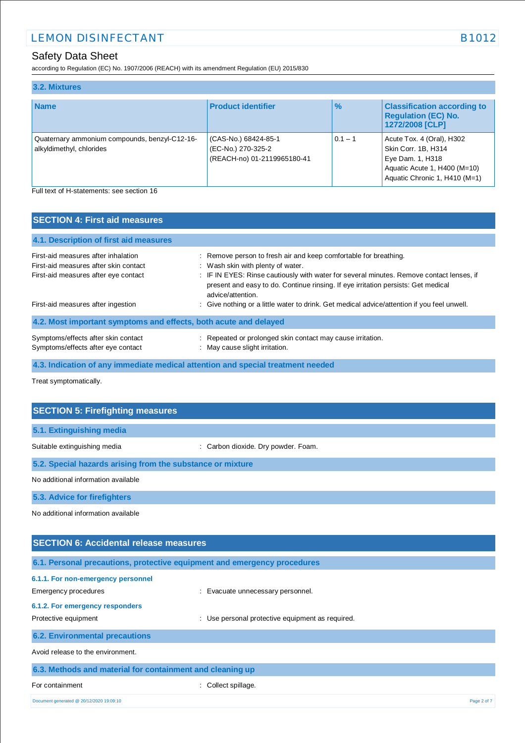according to Regulation (EC) No. 1907/2006 (REACH) with its amendment Regulation (EU) 2015/830

| 3.2. Mixtures                                                             |                                                                           |               |                                                                                                                                       |
|---------------------------------------------------------------------------|---------------------------------------------------------------------------|---------------|---------------------------------------------------------------------------------------------------------------------------------------|
| <b>Name</b>                                                               | <b>Product identifier</b>                                                 | $\frac{1}{2}$ | <b>Classification according to</b><br><b>Regulation (EC) No.</b><br>1272/2008 [CLP]                                                   |
| Quaternary ammonium compounds, benzyl-C12-16-<br>alkyldimethyl, chlorides | (CAS-No.) 68424-85-1<br>(EC-No.) 270-325-2<br>(REACH-no) 01-2119965180-41 | $0.1 - 1$     | Acute Tox. 4 (Oral), H302<br>Skin Corr. 1B, H314<br>Eye Dam. 1, H318<br>Aquatic Acute 1, H400 (M=10)<br>Aquatic Chronic 1, H410 (M=1) |
| Full text of H-statements: see section 16                                 |                                                                           |               |                                                                                                                                       |

| ISECTION 4. FIISL dIU IIIEdSUIES                                                                                     |                                                                                                                                                                                                                                                                                                             |
|----------------------------------------------------------------------------------------------------------------------|-------------------------------------------------------------------------------------------------------------------------------------------------------------------------------------------------------------------------------------------------------------------------------------------------------------|
| 4.1. Description of first aid measures                                                                               |                                                                                                                                                                                                                                                                                                             |
| First-aid measures after inhalation<br>First-aid measures after skin contact<br>First-aid measures after eye contact | : Remove person to fresh air and keep comfortable for breathing.<br>: Wash skin with plenty of water.<br>: IF IN EYES: Rinse cautiously with water for several minutes. Remove contact lenses, if<br>present and easy to do. Continue rinsing. If eye irritation persists: Get medical<br>advice/attention. |
| First-aid measures after ingestion                                                                                   | : Give nothing or a little water to drink. Get medical advice/attention if you feel unwell.                                                                                                                                                                                                                 |
| 4.2. Most important symptoms and effects, both acute and delayed                                                     |                                                                                                                                                                                                                                                                                                             |
| Symptoms/effects after skin contact<br>Symptoms/effects after eye contact                                            | : Repeated or prolonged skin contact may cause irritation.<br>: May cause slight irritation.                                                                                                                                                                                                                |
|                                                                                                                      | 4.3. Indication of any immediate medical attention and special treatment needed                                                                                                                                                                                                                             |

Treat symptomatically.

| <b>SECTION 5: Firefighting measures</b>                    |                                     |  |  |
|------------------------------------------------------------|-------------------------------------|--|--|
| 5.1. Extinguishing media                                   |                                     |  |  |
| Suitable extinguishing media                               | : Carbon dioxide. Dry powder. Foam. |  |  |
| 5.2. Special hazards arising from the substance or mixture |                                     |  |  |
| No additional information available                        |                                     |  |  |
| 5.3. Advice for firefighters                               |                                     |  |  |
| No additional information available                        |                                     |  |  |
|                                                            |                                     |  |  |
| <b>SECTION 6: Accidental release measures</b>              |                                     |  |  |
|                                                            |                                     |  |  |

| 6.1. Personal precautions, protective equipment and emergency procedures |                                                  |             |
|--------------------------------------------------------------------------|--------------------------------------------------|-------------|
| 6.1.1. For non-emergency personnel                                       |                                                  |             |
| Emergency procedures                                                     | : Evacuate unnecessary personnel.                |             |
| 6.1.2. For emergency responders                                          |                                                  |             |
| Protective equipment                                                     | : Use personal protective equipment as required. |             |
| <b>6.2. Environmental precautions</b>                                    |                                                  |             |
| Avoid release to the environment.                                        |                                                  |             |
| 6.3. Methods and material for containment and cleaning up                |                                                  |             |
| For containment                                                          | Collect spillage.                                |             |
| Document generated @ 20/12/2020 19:09:10                                 |                                                  | Page 2 of 7 |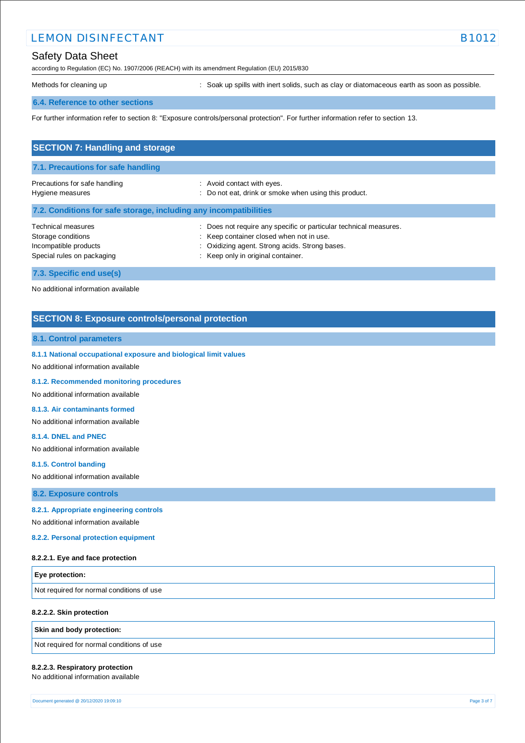## LEMON DISINFECTANT B101

## Safety Data Sheet

according to Regulation (EC) No. 1907/2006 (REACH) with its amendment Regulation (EU) 2015/830

Methods for cleaning up **interpret in the spills** with inert solids, such as clay or diatomaceous earth as soon as possible.

### **6.4. Reference to other sections**

For further information refer to section 8: "Exposure controls/personal protection". For further information refer to section 13.

| <b>SECTION 7: Handling and storage</b>                                                          |                                                                                                                                                                                                       |  |  |
|-------------------------------------------------------------------------------------------------|-------------------------------------------------------------------------------------------------------------------------------------------------------------------------------------------------------|--|--|
| 7.1. Precautions for safe handling                                                              |                                                                                                                                                                                                       |  |  |
| Precautions for safe handling<br>Hygiene measures                                               | : Avoid contact with eyes.<br>: Do not eat, drink or smoke when using this product.                                                                                                                   |  |  |
| 7.2. Conditions for safe storage, including any incompatibilities                               |                                                                                                                                                                                                       |  |  |
| Technical measures<br>Storage conditions<br>Incompatible products<br>Special rules on packaging | : Does not require any specific or particular technical measures.<br>: Keep container closed when not in use.<br>: Oxidizing agent. Strong acids. Strong bases.<br>: Keep only in original container. |  |  |
| 7.3. Specific end use(s)                                                                        |                                                                                                                                                                                                       |  |  |

No additional information available

### **SECTION 8: Exposure controls/personal protection**

#### **8.1. Control parameters**

**8.1.1 National occupational exposure and biological limit values** 

No additional information available

**8.1.2. Recommended monitoring procedures** 

No additional information available

**8.1.3. Air contaminants formed** 

No additional information available

#### **8.1.4. DNEL and PNEC**

No additional information available

**8.1.5. Control banding** 

No additional information available

**8.2. Exposure controls**

### **8.2.1. Appropriate engineering controls**

No additional information available

### **8.2.2. Personal protection equipment**

#### **8.2.2.1. Eye and face protection**

| <b>Eye protection:</b>                    |  |
|-------------------------------------------|--|
| Not required for normal conditions of use |  |

#### **8.2.2.2. Skin protection**

**Skin and body protection:**

Not required for normal conditions of use

#### **8.2.2.3. Respiratory protection**

No additional information available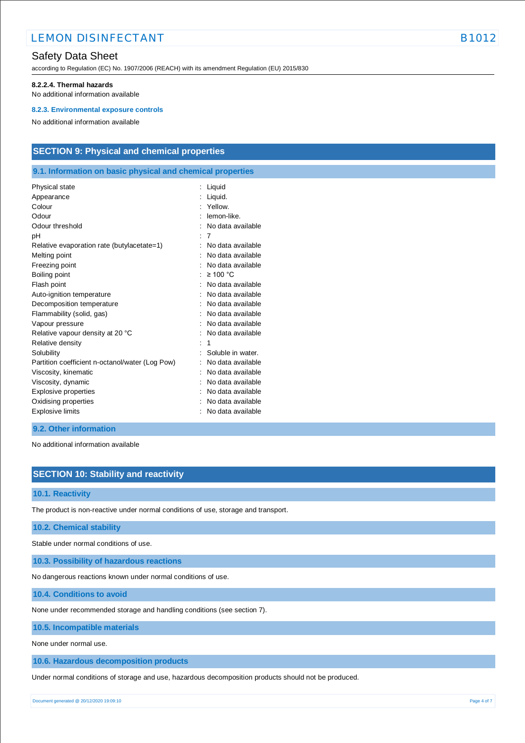according to Regulation (EC) No. 1907/2006 (REACH) with its amendment Regulation (EU) 2015/830

### **8.2.2.4. Thermal hazards**

No additional information available

### **8.2.3. Environmental exposure controls**

No additional information available

## **SECTION 9: Physical and chemical properties**

## **9.1. Information on basic physical and chemical properties**

| <b>Physical state</b>                           | Liquid            |
|-------------------------------------------------|-------------------|
| Appearance                                      | Liquid.           |
| Colour                                          | Yellow.           |
| Odour                                           | lemon-like.       |
| Odour threshold                                 | No data available |
| рH                                              | 7                 |
| Relative evaporation rate (butylacetate=1)      | No data available |
| Melting point                                   | No data available |
| Freezing point                                  | No data available |
| Boiling point                                   | $\geq 100$ °C     |
| Flash point                                     | No data available |
| Auto-ignition temperature                       | No data available |
| Decomposition temperature                       | No data available |
| Flammability (solid, gas)                       | No data available |
| Vapour pressure                                 | No data available |
| Relative vapour density at 20 °C                | No data available |
| Relative density                                | 1                 |
| Solubility                                      | Soluble in water. |
| Partition coefficient n-octanol/water (Log Pow) | No data available |
| Viscosity, kinematic                            | No data available |
| Viscosity, dynamic                              | No data available |
| Explosive properties                            | No data available |
| Oxidising properties                            | No data available |
| Explosive limits                                | No data available |

### **9.2. Other information**

No additional information available

## **SECTION 10: Stability and reactivity**

## **10.1. Reactivity**

The product is non-reactive under normal conditions of use, storage and transport.

**10.2. Chemical stability**

Stable under normal conditions of use.

**10.3. Possibility of hazardous reactions**

No dangerous reactions known under normal conditions of use.

**10.4. Conditions to avoid**

None under recommended storage and handling conditions (see section 7).

**10.5. Incompatible materials**

None under normal use.

**10.6. Hazardous decomposition products**

Under normal conditions of storage and use, hazardous decomposition products should not be produced.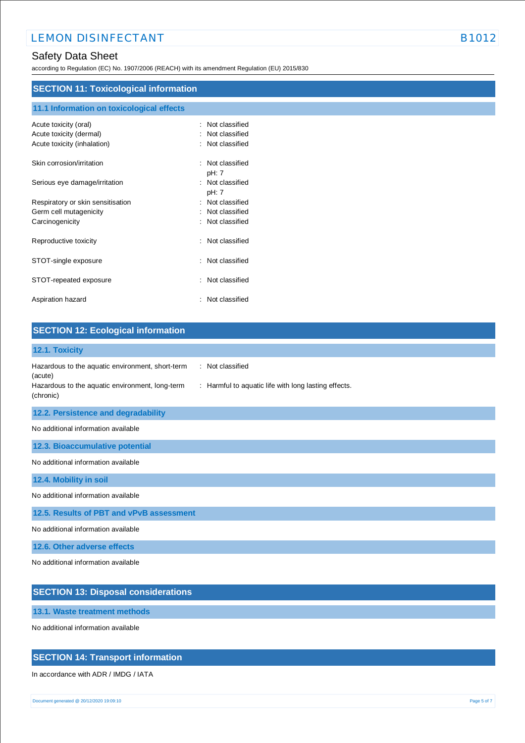according to Regulation (EC) No. 1907/2006 (REACH) with its amendment Regulation (EU) 2015/830

## **SECTION 11: Toxicological information**

# **11.1 Information on toxicological effects**

| Acute toxicity (oral)<br>Acute toxicity (dermal)<br>Acute toxicity (inhalation) | Not classified<br>٠.<br>Not classified<br>: Not classified |
|---------------------------------------------------------------------------------|------------------------------------------------------------|
| Skin corrosion/irritation                                                       | Not classified<br>pH: 7                                    |
| Serious eye damage/irritation                                                   | : Not classified<br>pH: 7                                  |
| Respiratory or skin sensitisation                                               | Not classified                                             |
| Germ cell mutagenicity                                                          | Not classified                                             |
| Carcinogenicity                                                                 | : Not classified                                           |
| Reproductive toxicity                                                           | : Not classified                                           |
| STOT-single exposure                                                            | Not classified                                             |
| STOT-repeated exposure                                                          | Not classified                                             |
| Aspiration hazard                                                               | Not classified                                             |

| <b>SECTION 12: Ecological information</b>                                                                                                                                                               |  |
|---------------------------------------------------------------------------------------------------------------------------------------------------------------------------------------------------------|--|
| 12.1. Toxicity                                                                                                                                                                                          |  |
| Hazardous to the aquatic environment, short-term<br>: Not classified<br>(acute)<br>Hazardous to the aquatic environment, long-term<br>: Harmful to aquatic life with long lasting effects.<br>(chronic) |  |
| 12.2. Persistence and degradability                                                                                                                                                                     |  |
| No additional information available                                                                                                                                                                     |  |
| 12.3. Bioaccumulative potential                                                                                                                                                                         |  |
| No additional information available                                                                                                                                                                     |  |
| 12.4. Mobility in soil                                                                                                                                                                                  |  |
| No additional information available                                                                                                                                                                     |  |
| 12.5. Results of PBT and vPvB assessment                                                                                                                                                                |  |
| No additional information available                                                                                                                                                                     |  |
| 12.6. Other adverse effects                                                                                                                                                                             |  |
| No additional information available                                                                                                                                                                     |  |
| <b>SECTION 13: Disposal considerations</b>                                                                                                                                                              |  |

**13.1. Waste treatment methods**

No additional information available

## **SECTION 14: Transport information**

In accordance with ADR / IMDG / IATA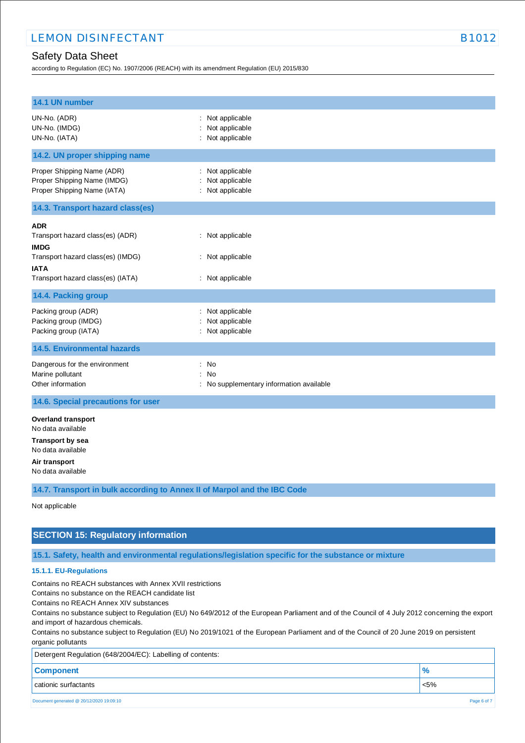according to Regulation (EC) No. 1907/2006 (REACH) with its amendment Regulation (EU) 2015/830

| : Not applicable<br>Not applicable<br>: Not applicable<br>Not applicable<br>Not applicable<br>: Not applicable<br>: Not applicable                                                                           |
|--------------------------------------------------------------------------------------------------------------------------------------------------------------------------------------------------------------|
|                                                                                                                                                                                                              |
|                                                                                                                                                                                                              |
|                                                                                                                                                                                                              |
|                                                                                                                                                                                                              |
|                                                                                                                                                                                                              |
| : Not applicable<br>: Not applicable                                                                                                                                                                         |
|                                                                                                                                                                                                              |
| : Not applicable<br>Not applicable<br>: Not applicable                                                                                                                                                       |
|                                                                                                                                                                                                              |
| : No<br>No<br>: No supplementary information available                                                                                                                                                       |
|                                                                                                                                                                                                              |
|                                                                                                                                                                                                              |
| 14.7. Transport in bulk according to Annex II of Marpol and the IBC Code                                                                                                                                     |
|                                                                                                                                                                                                              |
|                                                                                                                                                                                                              |
| 15.1. Safety, health and environmental regulations/legislation specific for the substance or mixture                                                                                                         |
| Contains no REACH substances with Annex XVII restrictions<br>Contains no substance subject to Regulation (EU) No 649/2012 of the European Parliament and of the Council of 4 July 2012 concerning the export |
|                                                                                                                                                                                                              |

Contains no substance subject to Regulation (EU) No 2019/1021 of the European Parliament and of the Council of 20 June 2019 on persistent organic pollutants

| Detergent Regulation (648/2004/EC): Labelling of contents: |               |  |  |
|------------------------------------------------------------|---------------|--|--|
| <b>Component</b>                                           | $\frac{9}{6}$ |  |  |
| cationic surfactants                                       | $< 5\%$       |  |  |
| Document generated @ 20/12/2020 19:09:10<br>Page 6 of 7    |               |  |  |